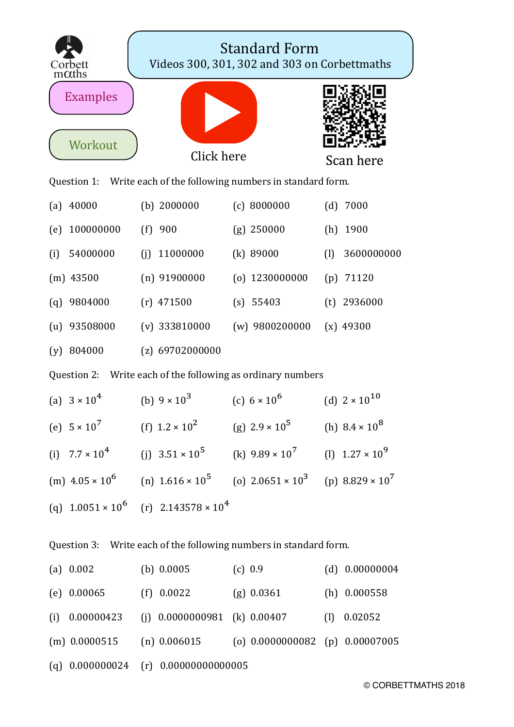| Corbett<br>$m\alpha$ ths                                          | <b>Standard Form</b><br>Videos 300, 301, 302 and 303 on Corbettmaths |                                                                    |                         |  |  |
|-------------------------------------------------------------------|----------------------------------------------------------------------|--------------------------------------------------------------------|-------------------------|--|--|
| <b>Examples</b><br>Workout                                        |                                                                      |                                                                    |                         |  |  |
|                                                                   | Click here                                                           |                                                                    | Scan here               |  |  |
| Question 1: Write each of the following numbers in standard form. |                                                                      |                                                                    |                         |  |  |
| 40000<br>(a)                                                      | (b) $2000000$                                                        | (c) 8000000                                                        | (d)<br>7000             |  |  |
| 100000000<br>(e)                                                  | $(f)$ 900                                                            | $(g)$ 250000                                                       | 1900<br>(h)             |  |  |
| 54000000<br>(i)                                                   | 11000000<br>(i)                                                      | $(k)$ 89000                                                        | 3600000000<br>(1)       |  |  |
| $(m)$ 43500                                                       | $(n)$ 91900000                                                       | $(o)$ 1230000000                                                   | 71120<br>(p)            |  |  |
| 9804000<br>(q)                                                    | $(r)$ 471500                                                         | (s) 55403                                                          | $(t)$ 2936000           |  |  |
| $(u)$ 93508000                                                    | $(v)$ 333810000                                                      | $(w)$ 9800200000                                                   | $(x)$ 49300             |  |  |
| $(y)$ 804000                                                      | $(z)$ 69702000000                                                    |                                                                    |                         |  |  |
| Question 2: Write each of the following as ordinary numbers       |                                                                      |                                                                    |                         |  |  |
| (a) $3 \times 10^4$                                               | (b) $9 \times 10^3$                                                  | (c) $6 \times 10^6$                                                | (d) $2 \times 10^{10}$  |  |  |
| (e) $5 \times 10^7$                                               | (f) $1.2 \times 10^2$                                                | (g) $2.9 \times 10^5$                                              | (h) $8.4 \times 10^8$   |  |  |
| (i) $7.7 \times 10^4$                                             | (j) $3.51 \times 10^5$                                               | (k) $9.89 \times 10^7$                                             | (l) $1.27 \times 10^9$  |  |  |
| (m) $4.05 \times 10^6$                                            | (n) $1.616 \times 10^5$                                              | (o) $2.0651 \times 10^3$                                           | (p) $8.829 \times 10^7$ |  |  |
|                                                                   | (q) $1.0051 \times 10^6$ (r) $2.143578 \times 10^4$                  |                                                                    |                         |  |  |
| Question 3: Write each of the following numbers in standard form. |                                                                      |                                                                    |                         |  |  |
| (a) $0.002$                                                       | (b) $0.0005$                                                         | (c) 0.9                                                            | (d) $0.00000004$        |  |  |
| $(e)$ 0.00065                                                     | $(f)$ 0.0022                                                         | $(g)$ 0.0361                                                       | $(h)$ 0.000558          |  |  |
| 0.00000423<br>(i)                                                 | (j) $0.0000000981$ (k) $0.00407$                                     |                                                                    | $(l)$ 0.02052           |  |  |
|                                                                   |                                                                      | (m) $0.0000515$ (n) $0.006015$ (o) $0.0000000082$ (p) $0.00007005$ |                         |  |  |
| $(q)$ 0.000000024                                                 | $(r)$ 0.00000000000005                                               |                                                                    |                         |  |  |

© CORBETTMATHS 2018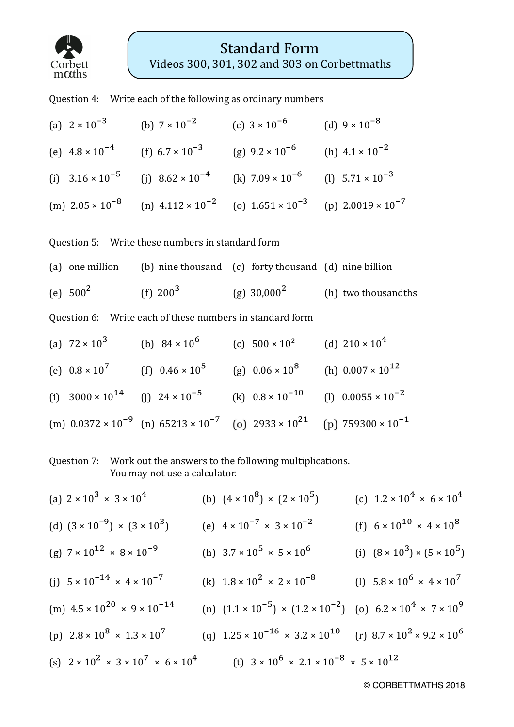

Question 4: Write each of the following as ordinary numbers

(a)  $2 \times 10^{-3}$  (b)  $7 \times 10^{-2}$  (c)  $3 \times 10^{-6}$  (d)  $9 \times 10^{-8}$ (e)  $4.8 \times 10^{-4}$  (f)  $6.7 \times 10^{-3}$  (g)  $9.2 \times 10^{-6}$  (h)  $4.1 \times 10^{-2}$ (i)  $3.16 \times 10^{-5}$  (i)  $8.62 \times 10^{-4}$  (k)  $7.09 \times 10^{-6}$  (l)  $5.71 \times 10^{-3}$ (m)  $2.05 \times 10^{-8}$  (n)  $4.112 \times 10^{-2}$  (o)  $1.651 \times 10^{-3}$  (n)  $2.0019 \times 10^{-7}$ 

Question 5: Write these numbers in standard form

(a) one million (b) nine thousand (c) forty thousand  $(d)$  nine billion (e)  $500^2$  (f)  $200^3$  (g)  $30.000^2$  (h) two thousandths

Question 6: Write each of these numbers in standard form

(a)  $72 \times 10^3$  (b)  $84 \times 10^6$  (c)  $500 \times 10^2$  (d)  $210 \times 10^4$ (e)  $0.8 \times 10^7$  (f)  $0.46 \times 10^5$  (g)  $0.06 \times 10^8$  (h)  $0.007 \times 10^{12}$ (i)  $3000 \times 10^{14}$  (i)  $24 \times 10^{-5}$  (k)  $0.8 \times 10^{-10}$  (l)  $0.0055 \times 10^{-2}$ (m)  $0.0372 \times 10^{-9}$  (n)  $65213 \times 10^{-7}$  (o)  $2933 \times 10^{21}$  (p)  $759300 \times 10^{-1}$ 

Question 7: Work out the answers to the following multiplications. You may not use a calculator.

(a)  $2 \times 10^3 \times 3 \times 10^4$  (b)  $(4 \times 10^8) \times (2 \times 10^5)$  (c)  $1.2 \times 10^4 \times 6 \times 10^4$ (d)  $(3 \times 10^{-9}) \times (3 \times 10^{3})$  (e)  $4 \times 10^{-7} \times 3 \times 10^{-2}$  (f)  $6 \times 10^{10} \times 4 \times 10^{8}$ (g)  $7 \times 10^{12} \times 8 \times 10^{-9}$  (h)  $3.7 \times 10^5 \times 5 \times 10^6$  (i)  $(8 \times 10^3) \times (5 \times 10^5)$ (i)  $5 \times 10^{-14} \times 4 \times 10^{-7}$  (k)  $1.8 \times 10^{2} \times 2 \times 10^{-8}$  (l)  $5.8 \times 10^{6} \times 4 \times 10^{7}$ (m)  $4.5 \times 10^{20} \times 9 \times 10^{-14}$  (n)  $(1.1 \times 10^{-5}) \times (1.2 \times 10^{-2})$  (o)  $6.2 \times 10^{4} \times 7 \times 10^{9}$ (p)  $2.8 \times 10^8 \times 1.3 \times 10^7$  (q)  $1.25 \times 10^{-16} \times 3.2 \times 10^{10}$  (r)  $8.7 \times 10^2 \times 9.2 \times 10^6$ (s)  $2 \times 10^{2} \times 3 \times 10^{7} \times 6 \times 10^{4}$  (t)  $3 \times 10^{6} \times 2.1 \times 10^{-8} \times 5 \times 10^{12}$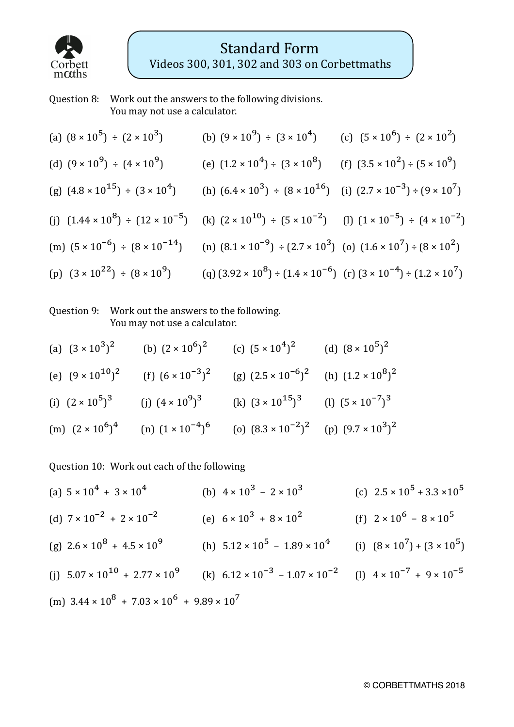

## Question 8: Work out the answers to the following divisions. You may not use a calculator.

| (a) $(8 \times 10^5) \div (2 \times 10^3)$                                                                                                             | (b) $(9 \times 10^9) \div (3 \times 10^4)$ (c) $(5 \times 10^6) \div (2 \times 10^2)$     |  |
|--------------------------------------------------------------------------------------------------------------------------------------------------------|-------------------------------------------------------------------------------------------|--|
| (d) $(9 \times 10^9) \div (4 \times 10^9)$                                                                                                             | (e) $(1.2 \times 10^4) \div (3 \times 10^8)$ (f) $(3.5 \times 10^2) \div (5 \times 10^9)$ |  |
| (g) $(4.8 \times 10^{15}) \div (3 \times 10^{4})$ (h) $(6.4 \times 10^{3}) \div (8 \times 10^{16})$ (i) $(2.7 \times 10^{-3}) \div (9 \times 10^{7})$  |                                                                                           |  |
| (i) $(1.44 \times 10^8) \div (12 \times 10^{-5})$ (k) $(2 \times 10^{10}) \div (5 \times 10^{-2})$ (l) $(1 \times 10^{-5}) \div (4 \times 10^{-2})$    |                                                                                           |  |
| (m) $(5 \times 10^{-6}) \div (8 \times 10^{-14})$ (n) $(8.1 \times 10^{-9}) \div (2.7 \times 10^{3})$ (o) $(1.6 \times 10^{7}) \div (8 \times 10^{2})$ |                                                                                           |  |
| (p) $(3 \times 10^{22}) \div (8 \times 10^{9})$ (q) $(3.92 \times 10^{8}) \div (1.4 \times 10^{-6})$ (r) $(3 \times 10^{-4}) \div (1.2 \times 10^{7})$ |                                                                                           |  |

## Question 9: Work out the answers to the following. You may not use a calculator.

| (a) $(3 \times 10^3)^2$                         |                            | (b) $(2 \times 10^6)^2$ (c) $(5 \times 10^4)^2$ (d) $(8 \times 10^5)^2$ |  |
|-------------------------------------------------|----------------------------|-------------------------------------------------------------------------|--|
| (e) $(9 \times 10^{10})^2$                      | (f) $(6 \times 10^{-3})^2$ | (g) $(2.5 \times 10^{-6})^2$ (h) $(1.2 \times 10^8)^2$                  |  |
| (i) $(2 \times 10^5)^3$ (j) $(4 \times 10^9)^3$ |                            | (k) $(3 \times 10^{15})^3$ (l) $(5 \times 10^{-7})^3$                   |  |
| (m) $(2 \times 10^6)^4$                         | (n) $(1 \times 10^{-4})^6$ | (o) $(8.3 \times 10^{-2})^2$ (p) $(9.7 \times 10^3)^2$                  |  |

Question 10: Work out each of the following

(a)  $5 \times 10^{4} + 3 \times 10^{4}$  (b)  $4 \times 10^{3} - 2 \times 10^{3}$  (c)  $2.5 \times 10^{5} + 3.3 \times 10^{5}$ (d)  $7 \times 10^{-2} + 2 \times 10^{-2}$  (e)  $6 \times 10^{3} + 8 \times 10^{2}$  (f)  $2 \times 10^{6} - 8 \times 10^{5}$ (g)  $2.6 \times 10^8 + 4.5 \times 10^9$  (h)  $5.12 \times 10^5 - 1.89 \times 10^4$  (i)  $(8 \times 10^7) + (3 \times 10^5)$ (j)  $5.07 \times 10^{10} + 2.77 \times 10^{9}$  (k)  $6.12 \times 10^{-3} - 1.07 \times 10^{-2}$  (l)  $4 \times 10^{-7} + 9 \times 10^{-5}$ (m)  $3.44 \times 10^8 + 7.03 \times 10^6 + 9.89 \times 10^7$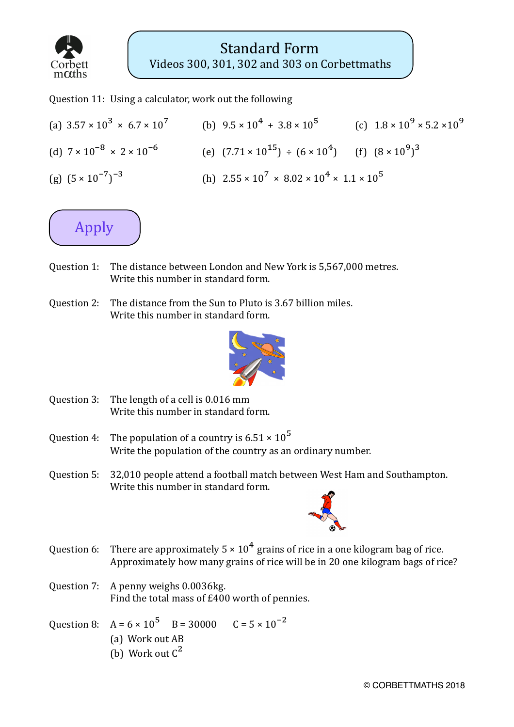

Question 11: Using a calculator, work out the following

(a)  $3.57 \times 10^3 \times 6.7 \times 10^7$  (b)  $9.5 \times 10^4 + 3.8 \times 10^5$  (c)  $1.8 \times 10^9 \times 5.2 \times 10^9$ (d)  $7 \times 10^{-8} \times 2 \times 10^{-6}$  (e)  $(7.71 \times 10^{15}) \div (6 \times 10^{4})$  (f)  $(8 \times 10^{9})^{3}$ (g)  $(5 \times 10^{-7})^{-3}$  (h)  $2.55 \times 10^{7} \times 8.02 \times 10^{4} \times 1.1 \times 10^{5}$ 



- Question 1: The distance between London and New York is 5,567,000 metres. Write this number in standard form.
- Ouestion 2: The distance from the Sun to Pluto is  $3.67$  billion miles. Write this number in standard form.



- Question  $3:$  The length of a cell is  $0.016$  mm Write this number in standard form.
- Question 4: The population of a country is  $6.51 \times 10^5$ Write the population of the country as an ordinary number.
- Question 5: 32,010 people attend a football match between West Ham and Southampton. Write this number in standard form.



- Question 6: There are approximately  $5 \times 10^4$  grains of rice in a one kilogram bag of rice. Approximately how many grains of rice will be in 20 one kilogram bags of rice?
- Question 7: A penny weighs 0.0036kg. Find the total mass of  $£400$  worth of pennies.

Question 8:  $A = 6 \times 10^5$  B = 30000 C = 5  $\times 10^{-2}$ (a) Work out AB (b) Work out  $C^2$